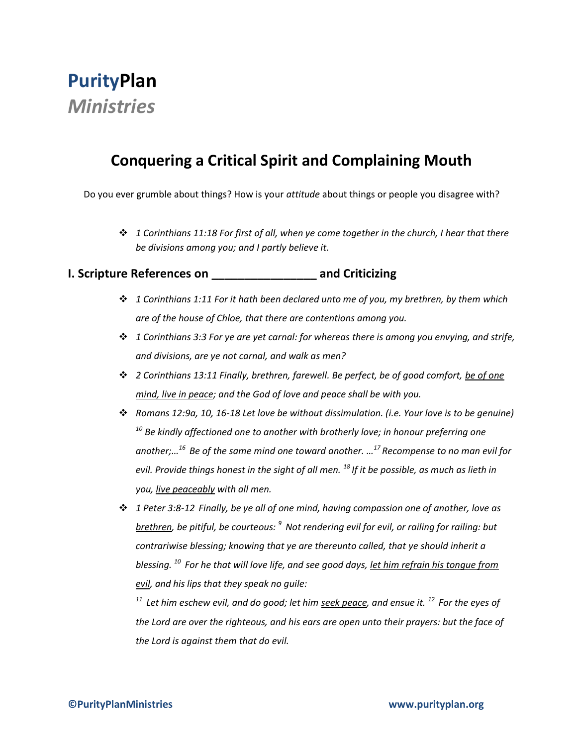# **PurityPlan** *Ministries*

# **Conquering a Critical Spirit and Complaining Mouth**

Do you ever grumble about things? How is your *attitude* about things or people you disagree with?

 *1 Corinthians 11:18 For first of all, when ye come together in the church, I hear that there be divisions among you; and I partly believe it.*

#### **I. Scripture References on \_\_\_\_\_\_\_\_\_\_\_\_\_\_\_\_ and Criticizing**

- *1 Corinthians 1:11 For it hath been declared unto me of you, my brethren, by them which are of the house of Chloe, that there are contentions among you.*
- *1 Corinthians 3:3 For ye are yet carnal: for whereas there is among you envying, and strife, and divisions, are ye not carnal, and walk as men?*
- *2 Corinthians 13:11 Finally, brethren, farewell. Be perfect, be of good comfort, be of one mind, live in peace; and the God of love and peace shall be with you.*
- *Romans 12:9a, 10, 16-18 Let love be without dissimulation. (i.e. Your love is to be genuine) <sup>10</sup> Be kindly affectioned one to another with brotherly love; in honour preferring one another;…<sup>16</sup>Be of the same mind one toward another. … <sup>17</sup>Recompense to no man evil for evil. Provide things honest in the sight of all men. <sup>18</sup>If it be possible, as much as lieth in you, live peaceably with all men.*
- *1 Peter 3:8-12 Finally, be ye all of one mind, having compassion one of another, love as brethren, be pitiful, be courteous: <sup>9</sup>Not rendering evil for evil, or railing for railing: but contrariwise blessing; knowing that ye are thereunto called, that ye should inherit a blessing. <sup>10</sup>For he that will love life, and see good days, let him refrain his tongue from evil, and his lips that they speak no guile:*

*<sup>11</sup>Let him eschew evil, and do good; let him seek peace, and ensue it. <sup>12</sup>For the eyes of the Lord are over the righteous, and his ears are open unto their prayers: but the face of the Lord is against them that do evil.*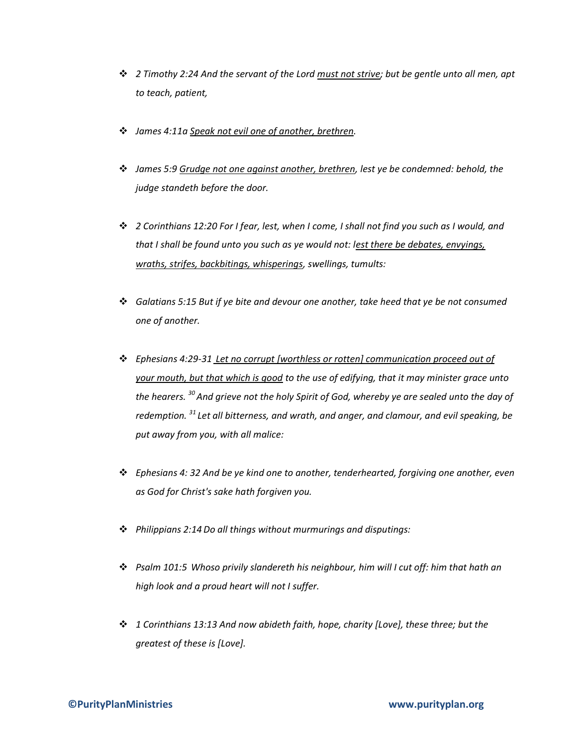- *2 Timothy 2:24 And the servant of the Lord must not strive; but be gentle unto all men, apt to teach, patient,*
- *James 4:11a Speak not evil one of another, brethren.*
- *James 5:9 Grudge not one against another, brethren, lest ye be condemned: behold, the judge standeth before the door.*
- *2 Corinthians 12:20 For I fear, lest, when I come, I shall not find you such as I would, and that I shall be found unto you such as ye would not: lest there be debates, envyings, wraths, strifes, backbitings, whisperings, swellings, tumults:*
- *Galatians 5:15 But if ye bite and devour one another, take heed that ye be not consumed one of another.*
- *Ephesians 4:29-31 Let no corrupt [worthless or rotten] communication proceed out of your mouth, but that which is good to the use of edifying, that it may minister grace unto the hearers. <sup>30</sup>And grieve not the holy Spirit of God, whereby ye are sealed unto the day of redemption. <sup>31</sup>Let all bitterness, and wrath, and anger, and clamour, and evil speaking, be put away from you, with all malice:*
- *Ephesians 4: 32 And be ye kind one to another, tenderhearted, forgiving one another, even as God for Christ's sake hath forgiven you.*
- *Philippians 2:14 Do all things without murmurings and disputings:*
- *Psalm 101:5 Whoso privily slandereth his neighbour, him will I cut off: him that hath an high look and a proud heart will not I suffer.*
- *1 Corinthians 13:13 And now abideth faith, hope, charity [Love], these three; but the greatest of these is [Love].*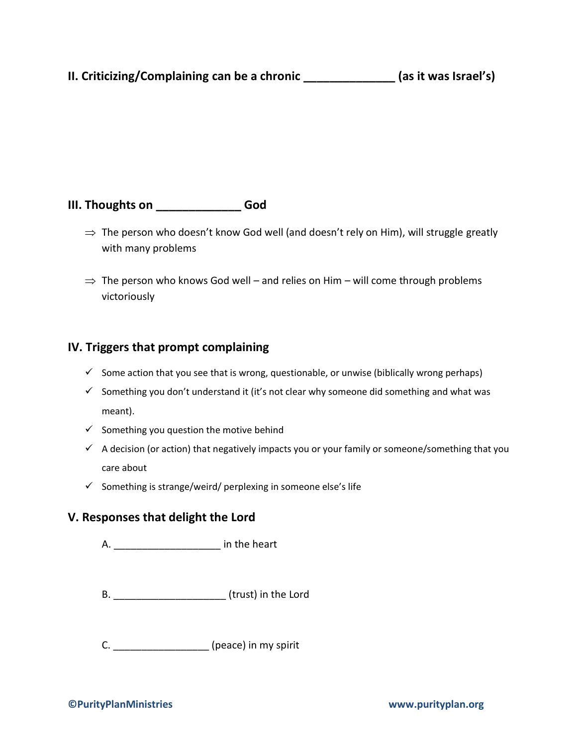## **II. Criticizing/Complaining can be a chronic \_\_\_\_\_\_\_\_\_\_\_\_\_\_ (as it was Israel's)**

### **III. Thoughts on \_\_\_\_\_\_\_\_\_\_\_\_\_ God**

- $\Rightarrow$  The person who doesn't know God well (and doesn't rely on Him), will struggle greatly with many problems
- $\Rightarrow$  The person who knows God well and relies on Him will come through problems victoriously

#### **IV. Triggers that prompt complaining**

- $\checkmark$  Some action that you see that is wrong, questionable, or unwise (biblically wrong perhaps)
- $\checkmark$  Something you don't understand it (it's not clear why someone did something and what was meant).
- $\checkmark$  Something you question the motive behind
- $\checkmark$  A decision (or action) that negatively impacts you or your family or someone/something that you care about
- $\checkmark$  Something is strange/weird/ perplexing in someone else's life

#### **V. Responses that delight the Lord**

A. \_\_\_\_\_\_\_\_\_\_\_\_\_\_\_\_\_\_\_ in the heart

- B. \_\_\_\_\_\_\_\_\_\_\_\_\_\_\_\_\_\_\_\_ (trust) in the Lord
- C. \_\_\_\_\_\_\_\_\_\_\_\_\_\_\_\_\_ (peace) in my spirit

#### **©PurityPlanMinistries www.purityplan.org**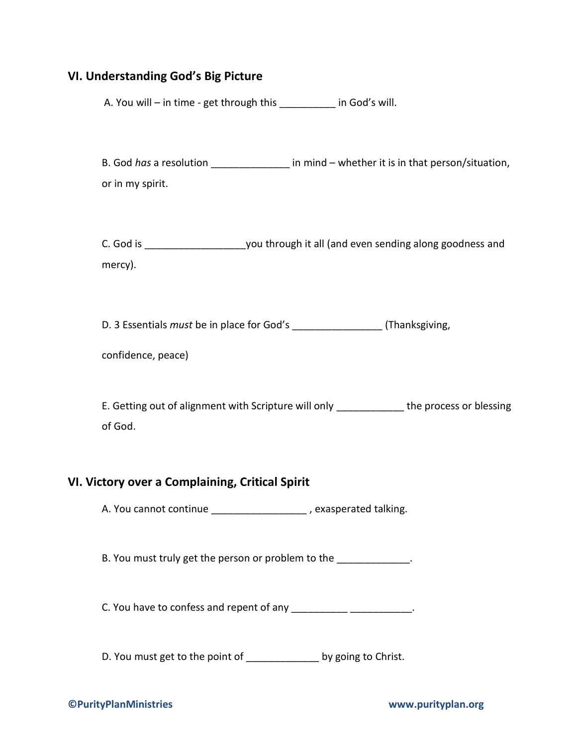#### **VI. Understanding God's Big Picture**

A. You will – in time - get through this \_\_\_\_\_\_\_\_\_\_ in God's will.

B. God *has* a resolution \_\_\_\_\_\_\_\_\_\_\_\_\_\_ in mind – whether it is in that person/situation, or in my spirit.

C. God is example a sequence of the you through it all (and even sending along goodness and mercy).

D. 3 Essentials *must* be in place for God's 
(Thanksgiving,

E. Getting out of alignment with Scripture will only \_\_\_\_\_\_\_\_\_\_\_\_\_ the process or blessing of God.

#### **VI. Victory over a Complaining, Critical Spirit**

A. You cannot continue \_\_\_\_\_\_\_\_\_\_\_\_\_\_\_\_\_\_\_\_, exasperated talking.

B. You must truly get the person or problem to the  $\blacksquare$ 

C. You have to confess and repent of any  $\frac{1}{2}$  \_\_\_\_\_\_\_\_\_\_\_\_\_\_\_\_\_\_\_\_\_\_\_.

D. You must get to the point of \_\_\_\_\_\_\_\_\_\_\_\_\_\_\_ by going to Christ.